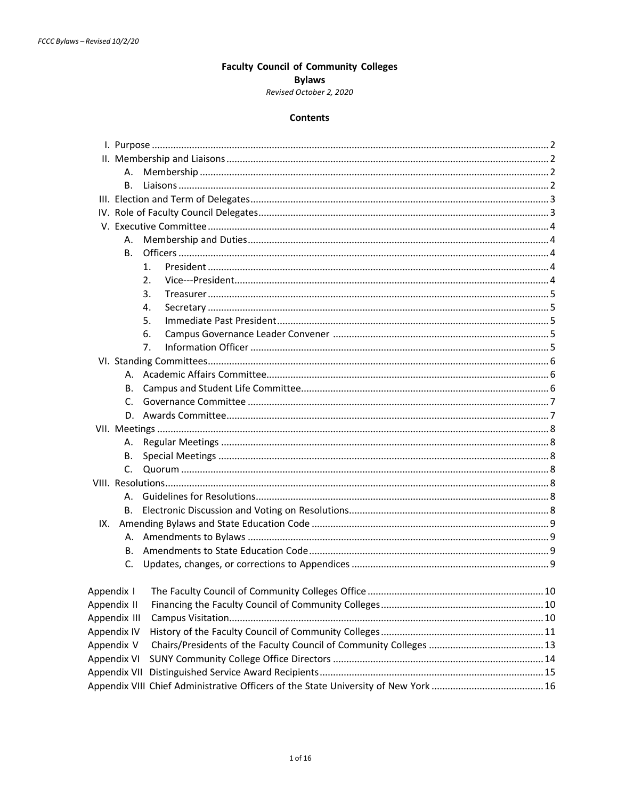## **Faculty Council of Community Colleges**

## **Bylaws**

### Revised October 2, 2020

#### **Contents**

<span id="page-0-0"></span>

| А.           |                |  |  |
|--------------|----------------|--|--|
| В.           |                |  |  |
|              | 1 <sub>1</sub> |  |  |
|              | 2.             |  |  |
|              | 3.             |  |  |
|              | 4.             |  |  |
|              | 5.             |  |  |
|              | 6.             |  |  |
|              | 7.             |  |  |
|              |                |  |  |
|              |                |  |  |
| В.           |                |  |  |
|              |                |  |  |
|              |                |  |  |
|              |                |  |  |
|              |                |  |  |
| В.           |                |  |  |
| C.           |                |  |  |
|              |                |  |  |
|              |                |  |  |
| В.           |                |  |  |
|              |                |  |  |
|              |                |  |  |
| В.           |                |  |  |
| C.           |                |  |  |
|              |                |  |  |
| Appendix II  |                |  |  |
| Appendix III |                |  |  |
| Appendix IV  |                |  |  |
| Appendix V   |                |  |  |
| Appendix VI  |                |  |  |
| Appendix VII |                |  |  |
|              |                |  |  |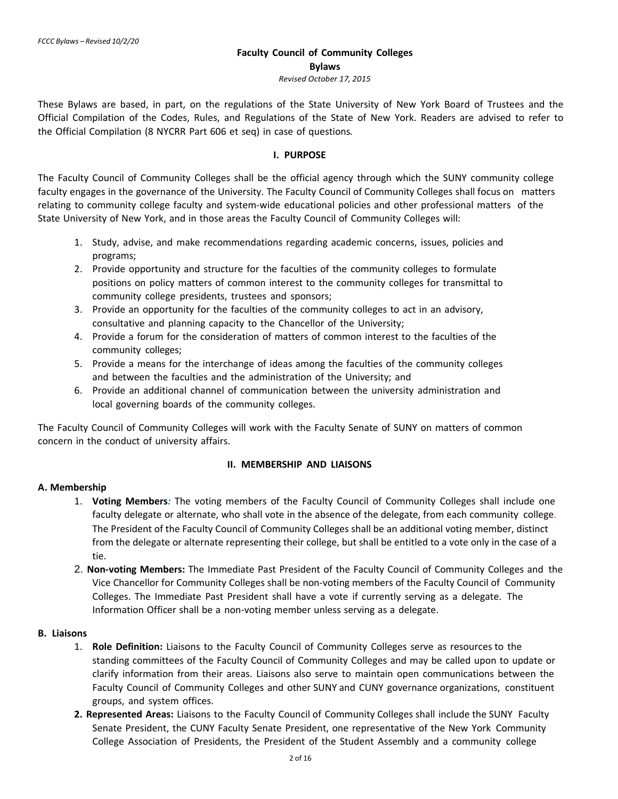## **Faculty Council of Community Colleges Bylaws** *Revised October 17, 2015*

<span id="page-1-1"></span><span id="page-1-0"></span>These Bylaws are based, in part, on the regulations of the State University of New York Board of Trustees and the Official Compilation of the Codes, Rules, and Regulations of the State of New York. Readers are advised to refer to the Official Compilation (8 NYCRR Part 606 et seq) in case of questions*.*

#### **I. PURPOSE**

<span id="page-1-2"></span>The Faculty Council of Community Colleges shall be the official agency through which the SUNY community college faculty engages in the governance of the University. The Faculty Council of Community Colleges shall focus on matters relating to community college faculty and system-wide educational policies and other professional matters of the State University of New York, and in those areas the Faculty Council of Community Colleges will:

- 1. Study, advise, and make recommendations regarding academic concerns, issues, policies and programs;
- 2. Provide opportunity and structure for the faculties of the community colleges to formulate positions on policy matters of common interest to the community colleges for transmittal to community college presidents, trustees and sponsors;
- 3. Provide an opportunity for the faculties of the community colleges to act in an advisory, consultative and planning capacity to the Chancellor of the University;
- 4. Provide a forum for the consideration of matters of common interest to the faculties of the community colleges;
- 5. Provide a means for the interchange of ideas among the faculties of the community colleges and between the faculties and the administration of the University; and
- 6. Provide an additional channel of communication between the university administration and local governing boards of the community colleges.

<span id="page-1-3"></span>The Faculty Council of Community Colleges will work with the Faculty Senate of SUNY on matters of common concern in the conduct of university affairs.

## **II. MEMBERSHIP AND LIAISONS**

## **A. Membership**

- 1. **Voting Members***:* The voting members of the Faculty Council of Community Colleges shall include one faculty delegate or alternate, who shall vote in the absence of the delegate, from each community college. The President of the Faculty Council of Community Colleges shall be an additional voting member, distinct from the delegate or alternate representing their college, but shall be entitled to a vote only in the case of a tie.
- 2. **Non-voting Members:** The Immediate Past President of the Faculty Council of Community Colleges and the Vice Chancellor for Community Colleges shall be non-voting members of the Faculty Council of Community Colleges. The Immediate Past President shall have a vote if currently serving as a delegate. The Information Officer shall be a non-voting member unless serving as a delegate.

#### **B. Liaisons**

- 1. **Role Definition:** Liaisons to the Faculty Council of Community Colleges serve as resources to the standing committees of the Faculty Council of Community Colleges and may be called upon to update or clarify information from their areas. Liaisons also serve to maintain open communications between the Faculty Council of Community Colleges and other SUNY and CUNY governance organizations, constituent groups, and system offices.
- **2. Represented Areas:** Liaisons to the Faculty Council of Community Colleges shall include the SUNY Faculty Senate President, the CUNY Faculty Senate President, one representative of the New York Community College Association of Presidents, the President of the Student Assembly and a community college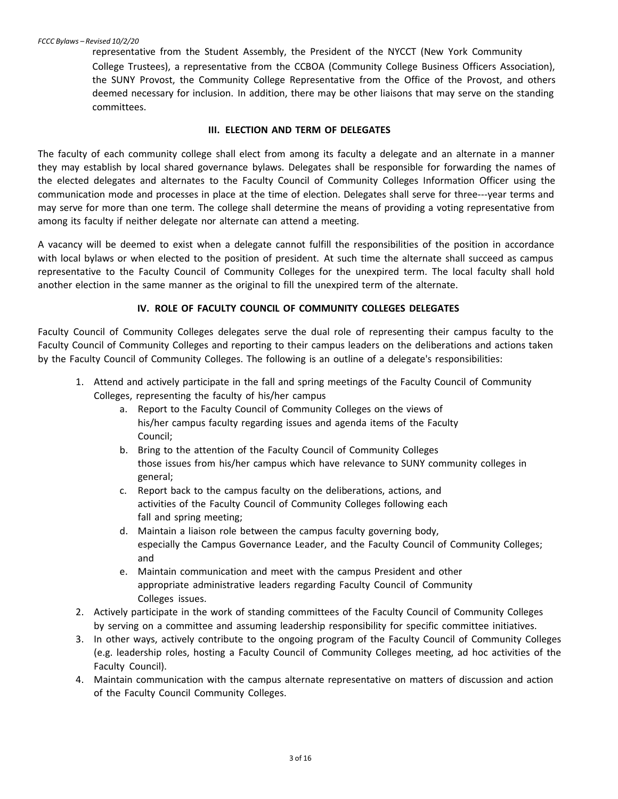<span id="page-2-0"></span>representative from the Student Assembly, the President of the NYCCT (New York Community College Trustees), a representative from the CCBOA (Community College Business Officers Association), the SUNY Provost, the Community College Representative from the Office of the Provost, and others deemed necessary for inclusion. In addition, there may be other liaisons that may serve on the standing committees.

#### **III. ELECTION AND TERM OF DELEGATES**

The faculty of each community college shall elect from among its faculty a delegate and an alternate in a manner they may establish by local shared governance bylaws. Delegates shall be responsible for forwarding the names of the elected delegates and alternates to the Faculty Council of Community Colleges Information Officer using the communication mode and processes in place at the time of election. Delegates shall serve for three---year terms and may serve for more than one term. The college shall determine the means of providing a voting representative from among its faculty if neither delegate nor alternate can attend a meeting.

A vacancy will be deemed to exist when a delegate cannot fulfill the responsibilities of the position in accordance with local bylaws or when elected to the position of president. At such time the alternate shall succeed as campus representative to the Faculty Council of Community Colleges for the unexpired term. The local faculty shall hold another election in the same manner as the original to fill the unexpired term of the alternate.

#### **IV. ROLE OF FACULTY COUNCIL OF COMMUNITY COLLEGES DELEGATES**

Faculty Council of Community Colleges delegates serve the dual role of representing their campus faculty to the Faculty Council of Community Colleges and reporting to their campus leaders on the deliberations and actions taken by the Faculty Council of Community Colleges. The following is an outline of a delegate's responsibilities:

- 1. Attend and actively participate in the fall and spring meetings of the Faculty Council of Community Colleges, representing the faculty of his/her campus
	- a. Report to the Faculty Council of Community Colleges on the views of his/her campus faculty regarding issues and agenda items of the Faculty Council;
	- b. Bring to the attention of the Faculty Council of Community Colleges those issues from his/her campus which have relevance to SUNY community colleges in general;
	- c. Report back to the campus faculty on the deliberations, actions, and activities of the Faculty Council of Community Colleges following each fall and spring meeting;
	- d. Maintain a liaison role between the campus faculty governing body, especially the Campus Governance Leader, and the Faculty Council of Community Colleges; and
	- e. Maintain communication and meet with the campus President and other appropriate administrative leaders regarding Faculty Council of Community Colleges issues.
- 2. Actively participate in the work of standing committees of the Faculty Council of Community Colleges by serving on a committee and assuming leadership responsibility for specific committee initiatives.
- 3. In other ways, actively contribute to the ongoing program of the Faculty Council of Community Colleges (e.g. leadership roles, hosting a Faculty Council of Community Colleges meeting, ad hoc activities of the Faculty Council).
- 4. Maintain communication with the campus alternate representative on matters of discussion and action of the Faculty Council Community Colleges.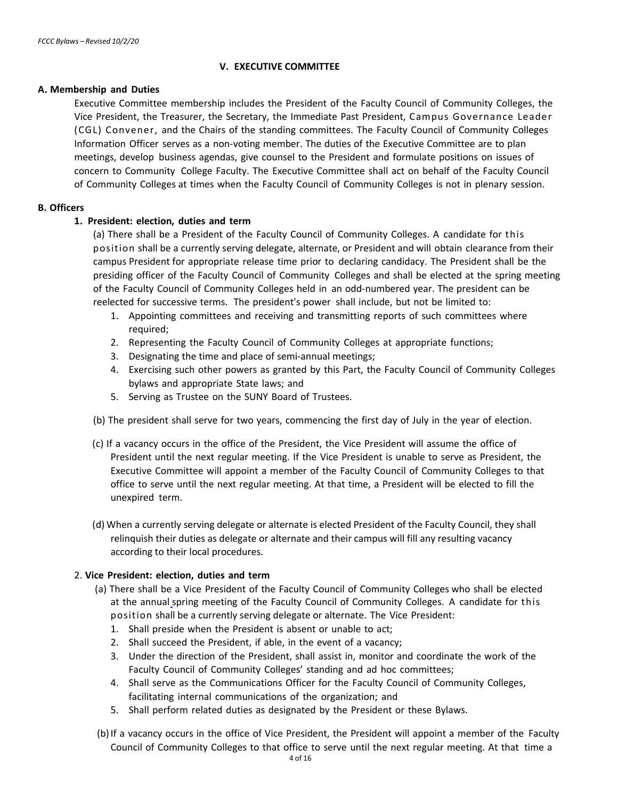## **V. EXECUTIVE COMMITTEE**

#### <span id="page-3-1"></span><span id="page-3-0"></span>**A. Membership and Duties**

Executive Committee membership includes the President of the Faculty Council of Community Colleges, the Vice President, the Treasurer, the Secretary, the Immediate Past President, Campus Governance Leader (CGL) Convener, and the Chairs of the standing committees. The Faculty Council of Community Colleges Information Officer serves as a non-voting member. The duties of the Executive Committee are to plan meetings, develop business agendas, give counsel to the President and formulate positions on issues of concern to Community College Faculty. The Executive Committee shall act on behalf of the Faculty Council of Community Colleges at times when the Faculty Council of Community Colleges is not in plenary session.

#### **B. Officers**

#### **1. President: election, duties and term**

(a) There shall be a President of the Faculty Council of Community Colleges. A candidate for this position shall be a currently serving delegate, alternate, or President and will obtain clearance from their campus President for appropriate release time prior to declaring candidacy. The President shall be the presiding officer of the Faculty Council of Community Colleges and shall be elected at the spring meeting of the Faculty Council of Community Colleges held in an odd-numbered year. The president can be reelected for successive terms. The president's power shall include, but not be limited to:

- <span id="page-3-2"></span>1. Appointing committees and receiving and transmitting reports of such committees where required;
- 2. Representing the Faculty Council of Community Colleges at appropriate functions;
- 3. Designating the time and place of semi-annual meetings;
- 4. Exercising such other powers as granted by this Part, the Faculty Council of Community Colleges bylaws and appropriate State laws; and
- 5. Serving as Trustee on the SUNY Board of Trustees.
- (b) The president shall serve for two years, commencing the first day of July in the year of election.
- (c) If a vacancy occurs in the office of the President, the Vice President will assume the office of President until the next regular meeting. If the Vice President is unable to serve as President, the Executive Committee will appoint a member of the Faculty Council of Community Colleges to that office to serve until the next regular meeting. At that time, a President will be elected to fill the unexpired term.
- (d) When a currently serving delegate or alternate is elected President of the Faculty Council, they shall relinquish their duties as delegate or alternate and their campus will fill any resulting vacancy according to their local procedures.

#### 2. **Vice President: election, duties and term**

- (a) There shall be a Vice President of the Faculty Council of Community Colleges who shall be elected at the annual spring meeting of the Faculty Council of Community Colleges. A candidate for this position shall be a currently serving delegate or alternate. The Vice President:
	- 1. Shall preside when the President is absent or unable to act;
	- 2. Shall succeed the President, if able, in the event of a vacancy;
	- 3. Under the direction of the President, shall assist in, monitor and coordinate the work of the Faculty Council of Community Colleges' standing and ad hoc committees;
	- 4. Shall serve as the Communications Officer for the Faculty Council of Community Colleges, facilitating internal communications of the organization; and
	- 5. Shall perform related duties as designated by the President or these Bylaws.
- (b)If a vacancy occurs in the office of Vice President, the President will appoint a member of the Faculty Council of Community Colleges to that office to serve until the next regular meeting. At that time a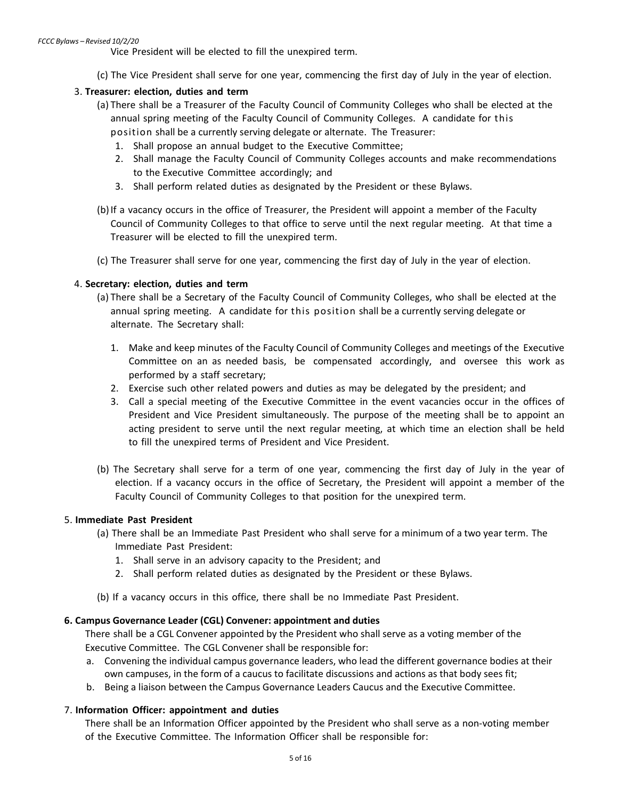Vice President will be elected to fill the unexpired term.

(c) The Vice President shall serve for one year, commencing the first day of July in the year of election.

## <span id="page-4-0"></span>3. **Treasurer: election, duties and term**

- (a) There shall be a Treasurer of the Faculty Council of Community Colleges who shall be elected at the annual spring meeting of the Faculty Council of Community Colleges. A candidate for this
	- position shall be a currently serving delegate or alternate. The Treasurer:
	- 1. Shall propose an annual budget to the Executive Committee;
	- 2. Shall manage the Faculty Council of Community Colleges accounts and make recommendations to the Executive Committee accordingly; and
	- 3. Shall perform related duties as designated by the President or these Bylaws.
- (b)If a vacancy occurs in the office of Treasurer, the President will appoint a member of the Faculty Council of Community Colleges to that office to serve until the next regular meeting. At that time a Treasurer will be elected to fill the unexpired term.
- (c) The Treasurer shall serve for one year, commencing the first day of July in the year of election.

### 4. **Secretary: election, duties and term**

- (a) There shall be a Secretary of the Faculty Council of Community Colleges, who shall be elected at the annual spring meeting. A candidate for this position shall be a currently serving delegate or alternate. The Secretary shall:
	- 1. Make and keep minutes of the Faculty Council of Community Colleges and meetings of the Executive Committee on an as needed basis, be compensated accordingly, and oversee this work as performed by a staff secretary;
	- 2. Exercise such other related powers and duties as may be delegated by the president; and
	- 3. Call a special meeting of the Executive Committee in the event vacancies occur in the offices of President and Vice President simultaneously. The purpose of the meeting shall be to appoint an acting president to serve until the next regular meeting, at which time an election shall be held to fill the unexpired terms of President and Vice President.
- <span id="page-4-1"></span>(b) The Secretary shall serve for a term of one year, commencing the first day of July in the year of election. If a vacancy occurs in the office of Secretary, the President will appoint a member of the Faculty Council of Community Colleges to that position for the unexpired term.

#### 5. **Immediate Past President**

- (a) There shall be an Immediate Past President who shall serve for a minimum of a two year term. The Immediate Past President:
	- 1. Shall serve in an advisory capacity to the President; and
	- 2. Shall perform related duties as designated by the President or these Bylaws.
- (b) If a vacancy occurs in this office, there shall be no Immediate Past President.

#### **6. Campus Governance Leader (CGL) Convener: appointment and duties**

There shall be a CGL Convener appointed by the President who shall serve as a voting member of the Executive Committee. The CGL Convener shall be responsible for:

- a. Convening the individual campus governance leaders, who lead the different governance bodies at their own campuses, in the form of a caucus to facilitate discussions and actions as that body sees fit;
- b. Being a liaison between the Campus Governance Leaders Caucus and the Executive Committee.

## 7. **Information Officer: appointment and duties**

There shall be an Information Officer appointed by the President who shall serve as a non-voting member of the Executive Committee. The Information Officer shall be responsible for: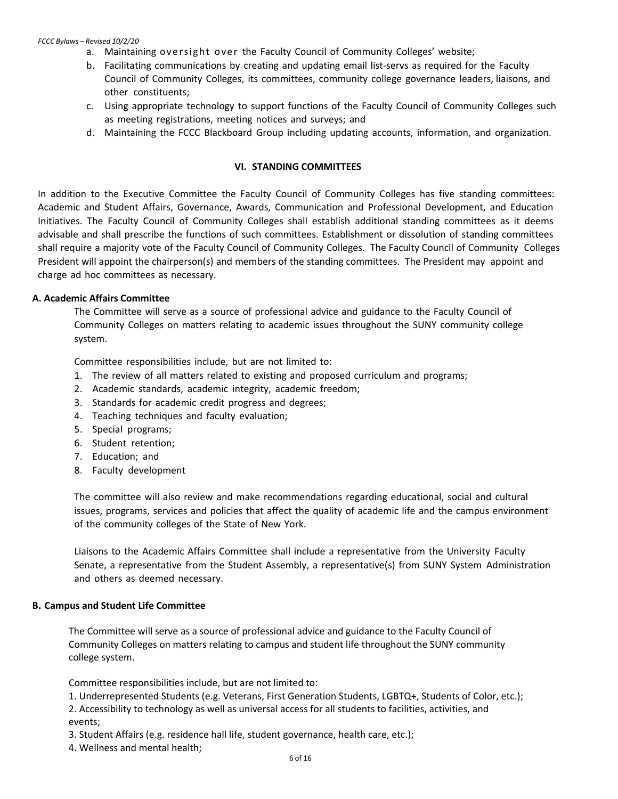#### *FCCC Bylaws – Revised 10/2/20*

- a. Maintaining oversight over the Faculty Council of Community Colleges' website;
- b. Facilitating communications by creating and updating email list-servs as required for the Faculty Council of Community Colleges, its committees, community college governance leaders, liaisons, and other constituents;
- c. Using appropriate technology to support functions of the Faculty Council of Community Colleges such as meeting registrations, meeting notices and surveys; and
- d. Maintaining the FCCC Blackboard Group including updating accounts, information, and organization.

#### **VI. STANDING COMMITTEES**

<span id="page-5-0"></span>In addition to the Executive Committee the Faculty Council of Community Colleges has five standing committees: Academic and Student Affairs, Governance, Awards, Communication and Professional Development, and Education Initiatives. The Faculty Council of Community Colleges shall establish additional standing committees as it deems advisable and shall prescribe the functions of such committees. Establishment or dissolution of standing committees shall require a majority vote of the Faculty Council of Community Colleges. The Faculty Council of Community Colleges President will appoint the chairperson(s) and members of the standing committees. The President may appoint and charge ad hoc committees as necessary.

#### **A. Academic Affairs Committee**

The Committee will serve as a source of professional advice and guidance to the Faculty Council of Community Colleges on matters relating to academic issues throughout the SUNY community college system.

Committee responsibilities include, but are not limited to:

- 1. The review of all matters related to existing and proposed curriculum and programs;
- 2. Academic standards, academic integrity, academic freedom;
- 3. Standards for academic credit progress and degrees;
- 4. Teaching techniques and faculty evaluation;
- 5. Special programs;
- 6. Student retention;
- 7. Education; and
- 8. Faculty development

The committee will also review and make recommendations regarding educational, social and cultural issues, programs, services and policies that affect the quality of academic life and the campus environment of the community colleges of the State of New York.

Liaisons to the Academic Affairs Committee shall include a representative from the University Faculty Senate, a representative from the Student Assembly, a representative(s) from SUNY System Administration and others as deemed necessary.

#### **B. Campus and Student Life Committee**

The Committee will serve as a source of professional advice and guidance to the Faculty Council of Community Colleges on matters relating to campus and student life throughout the SUNY community college system.

Committee responsibilities include, but are not limited to:

1. Underrepresented Students (e.g. Veterans, First Generation Students, LGBTQ+, Students of Color, etc.); 2. Accessibility to technology as well as universal access for all students to facilities, activities, and events;

- 3. Student Affairs (e.g. residence hall life, student governance, health care, etc.);
- 4. Wellness and mental health;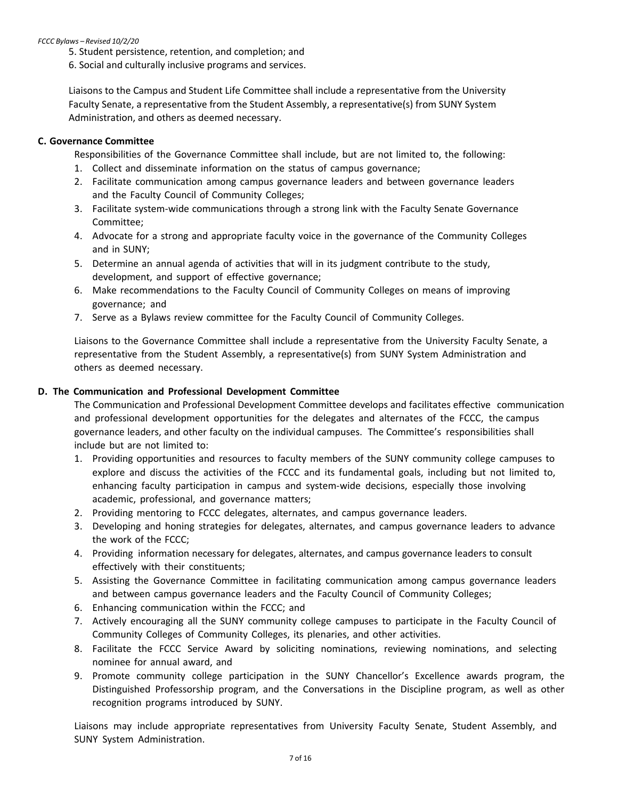#### *FCCC Bylaws – Revised 10/2/20*

5. Student persistence, retention, and completion; and

6. Social and culturally inclusive programs and services.

Liaisons to the Campus and Student Life Committee shall include a representative from the University Faculty Senate, a representative from the Student Assembly, a representative(s) from SUNY System Administration, and others as deemed necessary.

#### **C. Governance Committee**

Responsibilities of the Governance Committee shall include, but are not limited to, the following:

- 1. Collect and disseminate information on the status of campus governance;
- 2. Facilitate communication among campus governance leaders and between governance leaders and the Faculty Council of Community Colleges;
- 3. Facilitate system-wide communications through a strong link with the Faculty Senate Governance Committee;
- 4. Advocate for a strong and appropriate faculty voice in the governance of the Community Colleges and in SUNY;
- <span id="page-6-0"></span>5. Determine an annual agenda of activities that will in its judgment contribute to the study, development, and support of effective governance;
- 6. Make recommendations to the Faculty Council of Community Colleges on means of improving governance; and
- 7. Serve as a Bylaws review committee for the Faculty Council of Community Colleges.

Liaisons to the Governance Committee shall include a representative from the University Faculty Senate, a representative from the Student Assembly, a representative(s) from SUNY System Administration and others as deemed necessary.

### **D. The Communication and Professional Development Committee**

The Communication and Professional Development Committee develops and facilitates effective communication and professional development opportunities for the delegates and alternates of the FCCC, the campus governance leaders, and other faculty on the individual campuses. The Committee's responsibilities shall include but are not limited to:

- 1. Providing opportunities and resources to faculty members of the SUNY community college campuses to explore and discuss the activities of the FCCC and its fundamental goals, including but not limited to, enhancing faculty participation in campus and system-wide decisions, especially those involving academic, professional, and governance matters;
- 2. Providing mentoring to FCCC delegates, alternates, and campus governance leaders.
- 3. Developing and honing strategies for delegates, alternates, and campus governance leaders to advance the work of the FCCC;
- 4. Providing information necessary for delegates, alternates, and campus governance leaders to consult effectively with their constituents;
- 5. Assisting the Governance Committee in facilitating communication among campus governance leaders and between campus governance leaders and the Faculty Council of Community Colleges;
- 6. Enhancing communication within the FCCC; and
- 7. Actively encouraging all the SUNY community college campuses to participate in the Faculty Council of Community Colleges of Community Colleges, its plenaries, and other activities.
- 8. Facilitate the FCCC Service Award by soliciting nominations, reviewing nominations, and selecting nominee for annual award, and
- 9. Promote community college participation in the SUNY Chancellor's Excellence awards program, the Distinguished Professorship program, and the Conversations in the Discipline program, as well as other recognition programs introduced by SUNY.

Liaisons may include appropriate representatives from University Faculty Senate, Student Assembly, and SUNY System Administration.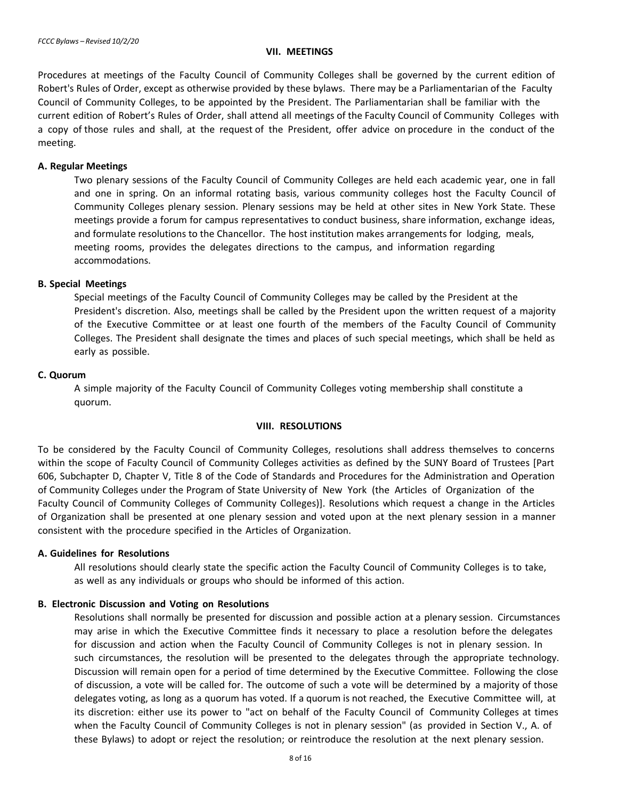#### <span id="page-7-3"></span>**VII. MEETINGS**

<span id="page-7-0"></span>Procedures at meetings of the Faculty Council of Community Colleges shall be governed by the current edition of Robert's Rules of Order, except as otherwise provided by these bylaws. There may be a Parliamentarian of the Faculty Council of Community Colleges, to be appointed by the President. The Parliamentarian shall be familiar with the current edition of Robert's Rules of Order, shall attend all meetings of the Faculty Council of Community Colleges with a copy of those rules and shall, at the request of the President, offer advice on procedure in the conduct of the meeting.

#### **A. Regular Meetings**

Two plenary sessions of the Faculty Council of Community Colleges are held each academic year, one in fall and one in spring. On an informal rotating basis, various community colleges host the Faculty Council of Community Colleges plenary session. Plenary sessions may be held at other sites in New York State. These meetings provide a forum for campus representatives to conduct business, share information, exchange ideas, and formulate resolutions to the Chancellor. The host institution makes arrangements for lodging, meals, meeting rooms, provides the delegates directions to the campus, and information regarding accommodations.

#### <span id="page-7-2"></span><span id="page-7-1"></span>**B. Special Meetings**

Special meetings of the Faculty Council of Community Colleges may be called by the President at the President's discretion. Also, meetings shall be called by the President upon the written request of a majority of the Executive Committee or at least one fourth of the members of the Faculty Council of Community Colleges. The President shall designate the times and places of such special meetings, which shall be held as early as possible.

#### **C. Quorum**

A simple majority of the Faculty Council of Community Colleges voting membership shall constitute a quorum.

#### <span id="page-7-4"></span>**VIII. RESOLUTIONS**

To be considered by the Faculty Council of Community Colleges, resolutions shall address themselves to concerns within the scope of Faculty Council of Community Colleges activities as defined by the SUNY Board of Trustees [Part 606, Subchapter D, Chapter V, Title 8 of the Code of Standards and Procedures for the Administration and Operation of Community Colleges under the Program of State University of New York (the Articles of Organization of the Faculty Council of Community Colleges of Community Colleges)]. Resolutions which request a change in the Articles of Organization shall be presented at one plenary session and voted upon at the next plenary session in a manner consistent with the procedure specified in the Articles of Organization.

#### **A. Guidelines for Resolutions**

All resolutions should clearly state the specific action the Faculty Council of Community Colleges is to take, as well as any individuals or groups who should be informed of this action.

#### **B. Electronic Discussion and Voting on Resolutions**

Resolutions shall normally be presented for discussion and possible action at a plenary session. Circumstances may arise in which the Executive Committee finds it necessary to place a resolution before the delegates for discussion and action when the Faculty Council of Community Colleges is not in plenary session. In such circumstances, the resolution will be presented to the delegates through the appropriate technology. Discussion will remain open for a period of time determined by the Executive Committee. Following the close of discussion, a vote will be called for. The outcome of such a vote will be determined by a majority of those delegates voting, as long as a quorum has voted. If a quorum is not reached, the Executive Committee will, at its discretion: either use its power to "act on behalf of the Faculty Council of Community Colleges at times when the Faculty Council of Community Colleges is not in plenary session" (as provided in Section V., A. of these Bylaws) to adopt or reject the resolution; or reintroduce the resolution at the next plenary session.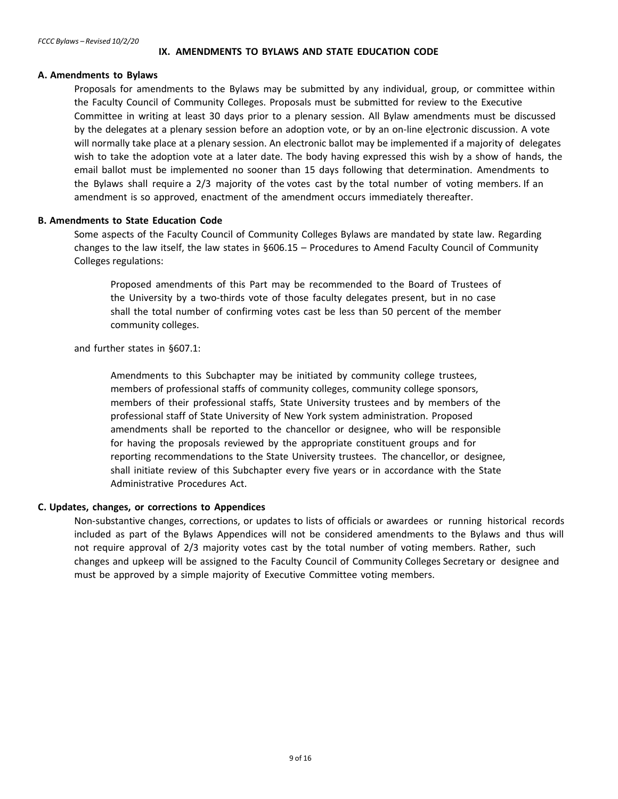#### **IX. AMENDMENTS TO BYLAWS AND STATE EDUCATION CODE**

#### <span id="page-8-0"></span>**A. Amendments to Bylaws**

Proposals for amendments to the Bylaws may be submitted by any individual, group, or committee within the Faculty Council of Community Colleges. Proposals must be submitted for review to the Executive Committee in writing at least 30 days prior to a plenary session. All Bylaw amendments must be discussed by the delegates at a plenary session before an adoption vote, or by an on-line electronic discussion. A vote will normally take place at a plenary session. An electronic ballot may be implemented if a majority of delegates wish to take the adoption vote at a later date. The body having expressed this wish by a show of hands, the email ballot must be implemented no sooner than 15 days following that determination. Amendments to the Bylaws shall require a 2/3 majority of the votes cast by the total number of voting members. If an amendment is so approved, enactment of the amendment occurs immediately thereafter.

#### **B. Amendments to State Education Code**

Some aspects of the Faculty Council of Community Colleges Bylaws are mandated by state law. Regarding changes to the law itself, the law states in §606.15 – Procedures to Amend Faculty Council of Community Colleges regulations:

Proposed amendments of this Part may be recommended to the Board of Trustees of the University by a two-thirds vote of those faculty delegates present, but in no case shall the total number of confirming votes cast be less than 50 percent of the member community colleges.

and further states in §607.1:

Amendments to this Subchapter may be initiated by community college trustees, members of professional staffs of community colleges, community college sponsors, members of their professional staffs, State University trustees and by members of the professional staff of State University of New York system administration. Proposed amendments shall be reported to the chancellor or designee, who will be responsible for having the proposals reviewed by the appropriate constituent groups and for reporting recommendations to the State University trustees. The chancellor, or designee, shall initiate review of this Subchapter every five years or in accordance with the State Administrative Procedures Act.

## **C. Updates, changes, or corrections to Appendices**

Non-substantive changes, corrections, or updates to lists of officials or awardees or running historical records included as part of the Bylaws Appendices will not be considered amendments to the Bylaws and thus will not require approval of 2/3 majority votes cast by the total number of voting members. Rather, such changes and upkeep will be assigned to the Faculty Council of Community Colleges Secretary or designee and must be approved by a simple majority of Executive Committee voting members.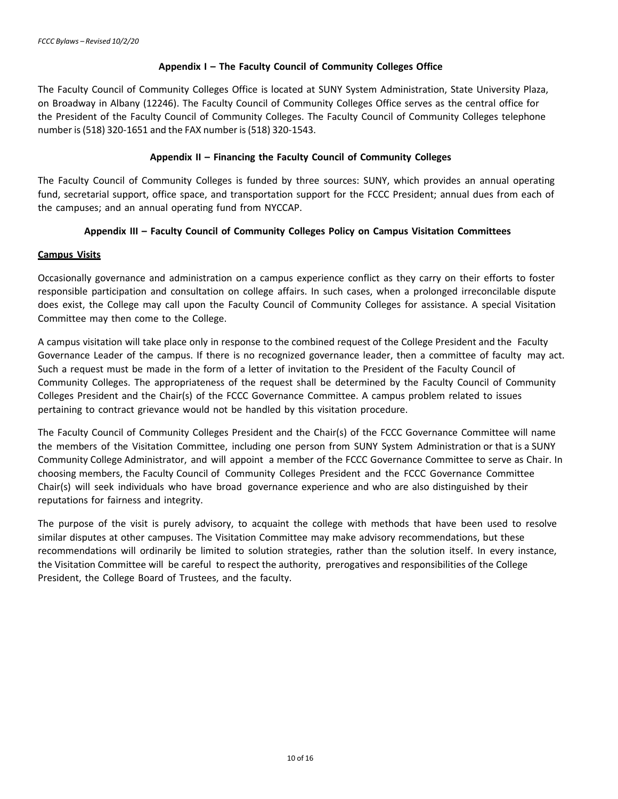## **Appendix I – The Faculty Council of Community Colleges Office**

<span id="page-9-1"></span><span id="page-9-0"></span>The Faculty Council of Community Colleges Office is located at SUNY System Administration, State University Plaza, on Broadway in Albany (12246). The Faculty Council of Community Colleges Office serves as the central office for the President of the Faculty Council of Community Colleges. The Faculty Council of Community Colleges telephone number is(518) 320-1651 and the FAX number is(518) 320-1543.

## **Appendix II – Financing the Faculty Council of Community Colleges**

The Faculty Council of Community Colleges is funded by three sources: SUNY, which provides an annual operating fund, secretarial support, office space, and transportation support for the FCCC President; annual dues from each of the campuses; and an annual operating fund from NYCCAP.

## **Appendix III – Faculty Council of Community Colleges Policy on Campus Visitation Committees**

### **Campus Visits**

Occasionally governance and administration on a campus experience conflict as they carry on their efforts to foster responsible participation and consultation on college affairs. In such cases, when a prolonged irreconcilable dispute does exist, the College may call upon the Faculty Council of Community Colleges for assistance. A special Visitation Committee may then come to the College.

A campus visitation will take place only in response to the combined request of the College President and the Faculty Governance Leader of the campus. If there is no recognized governance leader, then a committee of faculty may act. Such a request must be made in the form of a letter of invitation to the President of the Faculty Council of Community Colleges. The appropriateness of the request shall be determined by the Faculty Council of Community Colleges President and the Chair(s) of the FCCC Governance Committee. A campus problem related to issues pertaining to contract grievance would not be handled by this visitation procedure.

The Faculty Council of Community Colleges President and the Chair(s) of the FCCC Governance Committee will name the members of the Visitation Committee, including one person from SUNY System Administration or that is a SUNY Community College Administrator, and will appoint a member of the FCCC Governance Committee to serve as Chair. In choosing members, the Faculty Council of Community Colleges President and the FCCC Governance Committee Chair(s) will seek individuals who have broad governance experience and who are also distinguished by their reputations for fairness and integrity.

The purpose of the visit is purely advisory, to acquaint the college with methods that have been used to resolve similar disputes at other campuses. The Visitation Committee may make advisory recommendations, but these recommendations will ordinarily be limited to solution strategies, rather than the solution itself. In every instance, the Visitation Committee will be careful to respect the authority, prerogatives and responsibilities of the College President, the College Board of Trustees, and the faculty.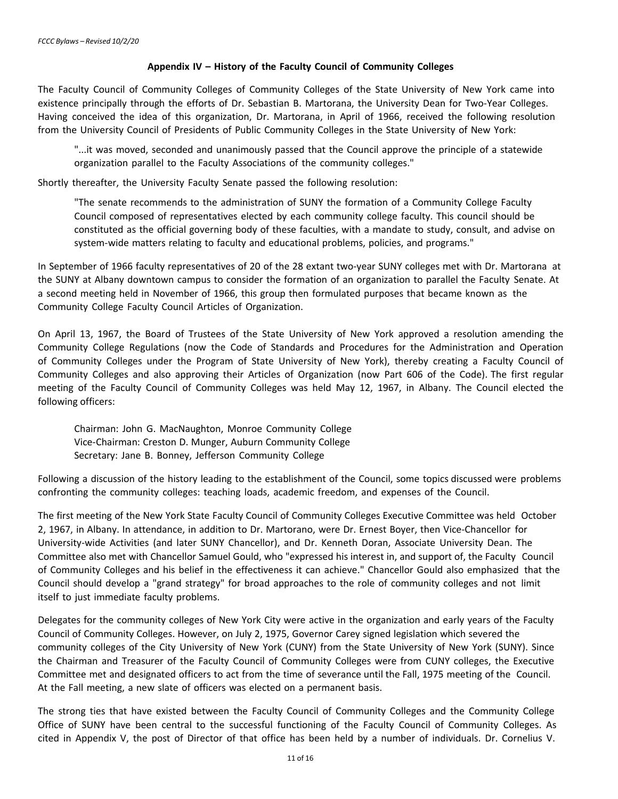## **Appendix IV – History of the Faculty Council of Community Colleges**

<span id="page-10-0"></span>The Faculty Council of Community Colleges of Community Colleges of the State University of New York came into existence principally through the efforts of Dr. Sebastian B. Martorana, the University Dean for Two-Year Colleges. Having conceived the idea of this organization, Dr. Martorana, in April of 1966, received the following resolution from the University Council of Presidents of Public Community Colleges in the State University of New York:

"...it was moved, seconded and unanimously passed that the Council approve the principle of a statewide organization parallel to the Faculty Associations of the community colleges."

Shortly thereafter, the University Faculty Senate passed the following resolution:

"The senate recommends to the administration of SUNY the formation of a Community College Faculty Council composed of representatives elected by each community college faculty. This council should be constituted as the official governing body of these faculties, with a mandate to study, consult, and advise on system-wide matters relating to faculty and educational problems, policies, and programs."

In September of 1966 faculty representatives of 20 of the 28 extant two-year SUNY colleges met with Dr. Martorana at the SUNY at Albany downtown campus to consider the formation of an organization to parallel the Faculty Senate. At a second meeting held in November of 1966, this group then formulated purposes that became known as the Community College Faculty Council Articles of Organization.

On April 13, 1967, the Board of Trustees of the State University of New York approved a resolution amending the Community College Regulations (now the Code of Standards and Procedures for the Administration and Operation of Community Colleges under the Program of State University of New York), thereby creating a Faculty Council of Community Colleges and also approving their Articles of Organization (now Part 606 of the Code). The first regular meeting of the Faculty Council of Community Colleges was held May 12, 1967, in Albany. The Council elected the following officers:

Chairman: John G. MacNaughton, Monroe Community College Vice-Chairman: Creston D. Munger, Auburn Community College Secretary: Jane B. Bonney, Jefferson Community College

Following a discussion of the history leading to the establishment of the Council, some topics discussed were problems confronting the community colleges: teaching loads, academic freedom, and expenses of the Council.

The first meeting of the New York State Faculty Council of Community Colleges Executive Committee was held October 2, 1967, in Albany. In attendance, in addition to Dr. Martorano, were Dr. Ernest Boyer, then Vice-Chancellor for University-wide Activities (and later SUNY Chancellor), and Dr. Kenneth Doran, Associate University Dean. The Committee also met with Chancellor Samuel Gould, who "expressed his interest in, and support of, the Faculty Council of Community Colleges and his belief in the effectiveness it can achieve." Chancellor Gould also emphasized that the Council should develop a "grand strategy" for broad approaches to the role of community colleges and not limit itself to just immediate faculty problems.

Delegates for the community colleges of New York City were active in the organization and early years of the Faculty Council of Community Colleges. However, on July 2, 1975, Governor Carey signed legislation which severed the community colleges of the City University of New York (CUNY) from the State University of New York (SUNY). Since the Chairman and Treasurer of the Faculty Council of Community Colleges were from CUNY colleges, the Executive Committee met and designated officers to act from the time of severance until the Fall, 1975 meeting of the Council. At the Fall meeting, a new slate of officers was elected on a permanent basis.

<span id="page-10-1"></span>The strong ties that have existed between the Faculty Council of Community Colleges and the Community College Office of SUNY have been central to the successful functioning of the Faculty Council of Community Colleges. As cited in Appendix V, the post of Director of that office has been held by a number of individuals. Dr. Cornelius V.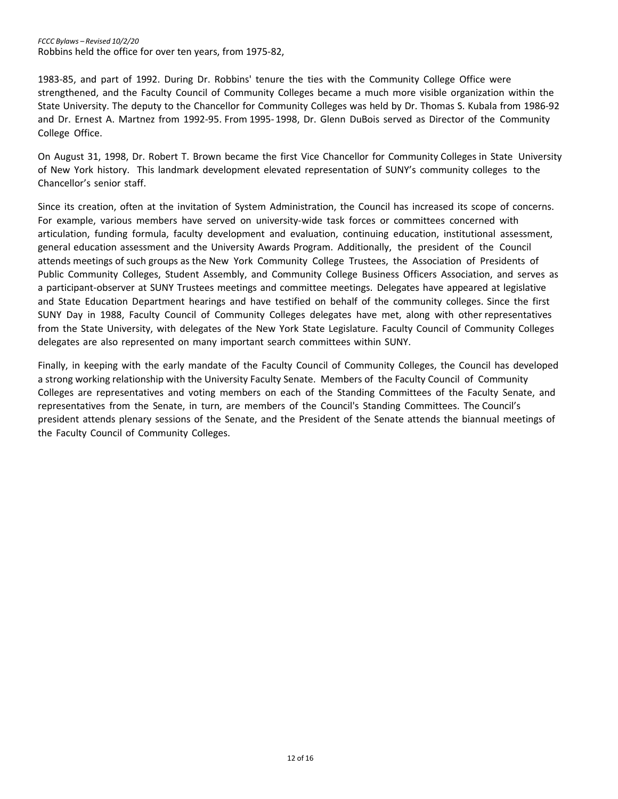1983-85, and part of 1992. During Dr. Robbins' tenure the ties with the Community College Office were strengthened, and the Faculty Council of Community Colleges became a much more visible organization within the State University. The deputy to the Chancellor for Community Colleges was held by Dr. Thomas S. Kubala from 1986-92 and Dr. Ernest A. Martnez from 1992-95. From 1995-1998, Dr. Glenn DuBois served as Director of the Community College Office.

On August 31, 1998, Dr. Robert T. Brown became the first Vice Chancellor for Community Colleges in State University of New York history. This landmark development elevated representation of SUNY's community colleges to the Chancellor's senior staff.

Since its creation, often at the invitation of System Administration, the Council has increased its scope of concerns. For example, various members have served on university-wide task forces or committees concerned with articulation, funding formula, faculty development and evaluation, continuing education, institutional assessment, general education assessment and the University Awards Program. Additionally, the president of the Council attends meetings of such groups as the New York Community College Trustees, the Association of Presidents of Public Community Colleges, Student Assembly, and Community College Business Officers Association, and serves as a participant-observer at SUNY Trustees meetings and committee meetings. Delegates have appeared at legislative and State Education Department hearings and have testified on behalf of the community colleges. Since the first SUNY Day in 1988, Faculty Council of Community Colleges delegates have met, along with other representatives from the State University, with delegates of the New York State Legislature. Faculty Council of Community Colleges delegates are also represented on many important search committees within SUNY.

Finally, in keeping with the early mandate of the Faculty Council of Community Colleges, the Council has developed a strong working relationship with the University Faculty Senate. Members of the Faculty Council of Community Colleges are representatives and voting members on each of the Standing Committees of the Faculty Senate, and representatives from the Senate, in turn, are members of the Council's Standing Committees. The Council's president attends plenary sessions of the Senate, and the President of the Senate attends the biannual meetings of the Faculty Council of Community Colleges.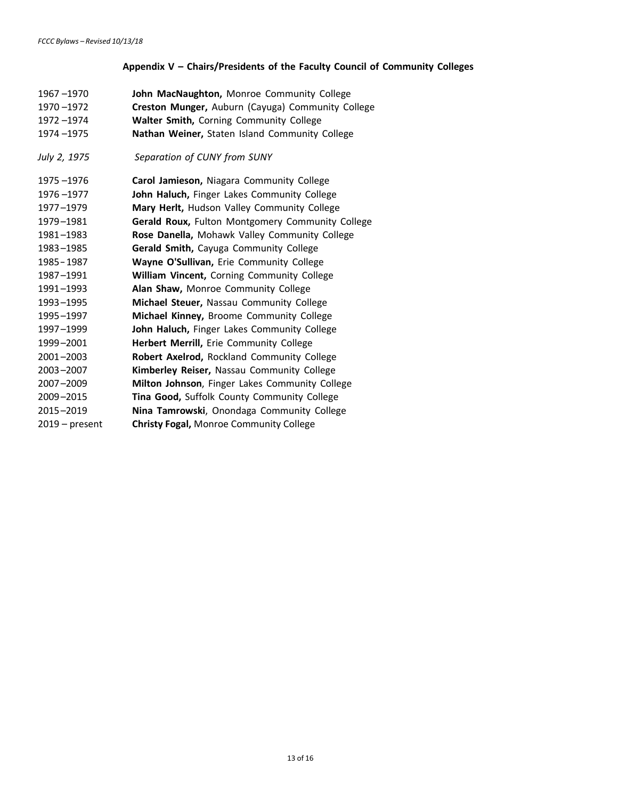## **Appendix V – Chairs/Presidents of the Faculty Council of Community Colleges**

<span id="page-12-0"></span>

| 1967-1970<br>1970-1972<br>1972-1974<br>1974-1975 | John MacNaughton, Monroe Community College<br>Creston Munger, Auburn (Cayuga) Community College<br>Walter Smith, Corning Community College<br>Nathan Weiner, Staten Island Community College |
|--------------------------------------------------|----------------------------------------------------------------------------------------------------------------------------------------------------------------------------------------------|
| July 2, 1975                                     | Separation of CUNY from SUNY                                                                                                                                                                 |
| 1975 - 1976                                      | Carol Jamieson, Niagara Community College                                                                                                                                                    |
| 1976-1977                                        | John Haluch, Finger Lakes Community College                                                                                                                                                  |
| 1977-1979                                        | Mary Herlt, Hudson Valley Community College                                                                                                                                                  |
| 1979-1981                                        | Gerald Roux, Fulton Montgomery Community College                                                                                                                                             |
| 1981-1983                                        | Rose Danella, Mohawk Valley Community College                                                                                                                                                |
| 1983-1985                                        | Gerald Smith, Cayuga Community College                                                                                                                                                       |
| 1985 - 1987                                      | Wayne O'Sullivan, Erie Community College                                                                                                                                                     |
| 1987-1991                                        | William Vincent, Corning Community College                                                                                                                                                   |
| 1991-1993                                        | Alan Shaw, Monroe Community College                                                                                                                                                          |
| 1993-1995                                        | Michael Steuer, Nassau Community College                                                                                                                                                     |
| 1995-1997                                        | Michael Kinney, Broome Community College                                                                                                                                                     |
| 1997-1999                                        | John Haluch, Finger Lakes Community College                                                                                                                                                  |
| 1999-2001                                        | Herbert Merrill, Erie Community College                                                                                                                                                      |
| 2001-2003                                        | Robert Axelrod, Rockland Community College                                                                                                                                                   |
| 2003-2007                                        | Kimberley Reiser, Nassau Community College                                                                                                                                                   |
| 2007-2009                                        | Milton Johnson, Finger Lakes Community College                                                                                                                                               |
| 2009-2015                                        | Tina Good, Suffolk County Community College                                                                                                                                                  |
| 2015-2019                                        | Nina Tamrowski, Onondaga Community College                                                                                                                                                   |
| $2019$ – present                                 | Christy Fogal, Monroe Community College                                                                                                                                                      |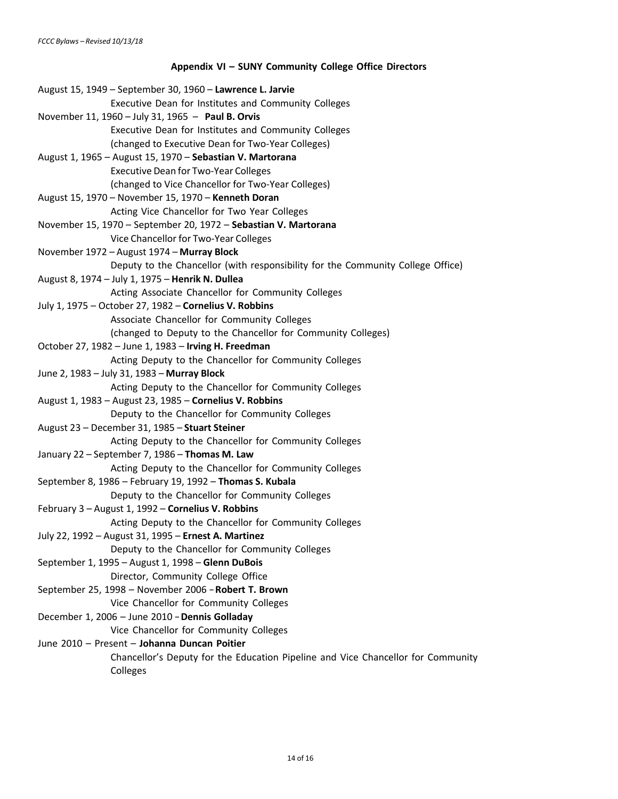# **Appendix VI – SUNY Community College Office Directors**

| August 15, 1949 - September 30, 1960 - Lawrence L. Jarvie                        |
|----------------------------------------------------------------------------------|
| Executive Dean for Institutes and Community Colleges                             |
| November 11, 1960 - July 31, 1965 - Paul B. Orvis                                |
| Executive Dean for Institutes and Community Colleges                             |
| (changed to Executive Dean for Two-Year Colleges)                                |
| August 1, 1965 - August 15, 1970 - Sebastian V. Martorana                        |
| <b>Executive Dean for Two-Year Colleges</b>                                      |
| (changed to Vice Chancellor for Two-Year Colleges)                               |
| August 15, 1970 - November 15, 1970 - Kenneth Doran                              |
| Acting Vice Chancellor for Two Year Colleges                                     |
| November 15, 1970 - September 20, 1972 - Sebastian V. Martorana                  |
| Vice Chancellor for Two-Year Colleges                                            |
| November 1972 - August 1974 - Murray Block                                       |
| Deputy to the Chancellor (with responsibility for the Community College Office)  |
| August 8, 1974 - July 1, 1975 - Henrik N. Dullea                                 |
| Acting Associate Chancellor for Community Colleges                               |
| July 1, 1975 - October 27, 1982 - Cornelius V. Robbins                           |
| Associate Chancellor for Community Colleges                                      |
| (changed to Deputy to the Chancellor for Community Colleges)                     |
| October 27, 1982 - June 1, 1983 - Irving H. Freedman                             |
| Acting Deputy to the Chancellor for Community Colleges                           |
| June 2, 1983 - July 31, 1983 - Murray Block                                      |
| Acting Deputy to the Chancellor for Community Colleges                           |
| August 1, 1983 - August 23, 1985 - Cornelius V. Robbins                          |
| Deputy to the Chancellor for Community Colleges                                  |
| August 23 - December 31, 1985 - Stuart Steiner                                   |
| Acting Deputy to the Chancellor for Community Colleges                           |
| January 22 - September 7, 1986 - Thomas M. Law                                   |
| Acting Deputy to the Chancellor for Community Colleges                           |
| September 8, 1986 - February 19, 1992 - Thomas S. Kubala                         |
| Deputy to the Chancellor for Community Colleges                                  |
| February 3 - August 1, 1992 - Cornelius V. Robbins                               |
| Acting Deputy to the Chancellor for Community Colleges                           |
| July 22, 1992 - August 31, 1995 - Ernest A. Martinez                             |
| Deputy to the Chancellor for Community Colleges                                  |
| September 1, 1995 - August 1, 1998 - Glenn DuBois                                |
| Director, Community College Office                                               |
| September 25, 1998 - November 2006 - Robert T. Brown                             |
| Vice Chancellor for Community Colleges                                           |
| December 1, 2006 - June 2010 - Dennis Golladay                                   |
| Vice Chancellor for Community Colleges                                           |
| June 2010 - Present - Johanna Duncan Poitier                                     |
| Chancellor's Deputy for the Education Pipeline and Vice Chancellor for Community |
| Colleges                                                                         |
|                                                                                  |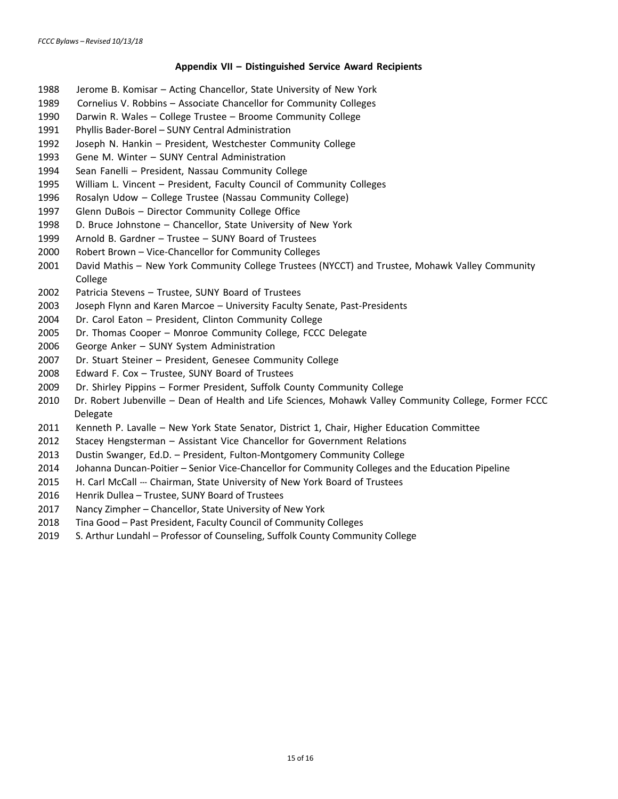#### **Appendix VII – Distinguished Service Award Recipients**

- <span id="page-14-0"></span>1988 Jerome B. Komisar – Acting Chancellor, State University of New York
- 1989 Cornelius V. Robbins Associate Chancellor for Community Colleges
- 1990 Darwin R. Wales College Trustee Broome Community College
- Phyllis Bader-Borel SUNY Central Administration
- Joseph N. Hankin President, Westchester Community College
- Gene M. Winter SUNY Central Administration
- Sean Fanelli President, Nassau Community College
- William L. Vincent President, Faculty Council of Community Colleges
- Rosalyn Udow College Trustee (Nassau Community College)
- Glenn DuBois Director Community College Office
- D. Bruce Johnstone Chancellor, State University of New York
- Arnold B. Gardner Trustee SUNY Board of Trustees
- Robert Brown Vice-Chancellor for Community Colleges
- David Mathis New York Community College Trustees (NYCCT) and Trustee, Mohawk Valley Community College
- Patricia Stevens Trustee, SUNY Board of Trustees
- Joseph Flynn and Karen Marcoe University Faculty Senate, Past-Presidents
- Dr. Carol Eaton President, Clinton Community College
- Dr. Thomas Cooper Monroe Community College, FCCC Delegate
- George Anker SUNY System Administration
- Dr. Stuart Steiner President, Genesee Community College
- Edward F. Cox Trustee, SUNY Board of Trustees
- Dr. Shirley Pippins Former President, Suffolk County Community College
- Dr. Robert Jubenville Dean of Health and Life Sciences, Mohawk Valley Community College, Former FCCC Delegate
- Kenneth P. Lavalle New York State Senator, District 1, Chair, Higher Education Committee
- Stacey Hengsterman Assistant Vice Chancellor for Government Relations
- Dustin Swanger, Ed.D. President, Fulton-Montgomery Community College
- Johanna Duncan-Poitier Senior Vice-Chancellor for Community Colleges and the Education Pipeline
- 2015 H. Carl McCall --- Chairman, State University of New York Board of Trustees
- Henrik Dullea Trustee, SUNY Board of Trustees
- Nancy Zimpher Chancellor, State University of New York
- Tina Good Past President, Faculty Council of Community Colleges
- S. Arthur Lundahl Professor of Counseling, Suffolk County Community College